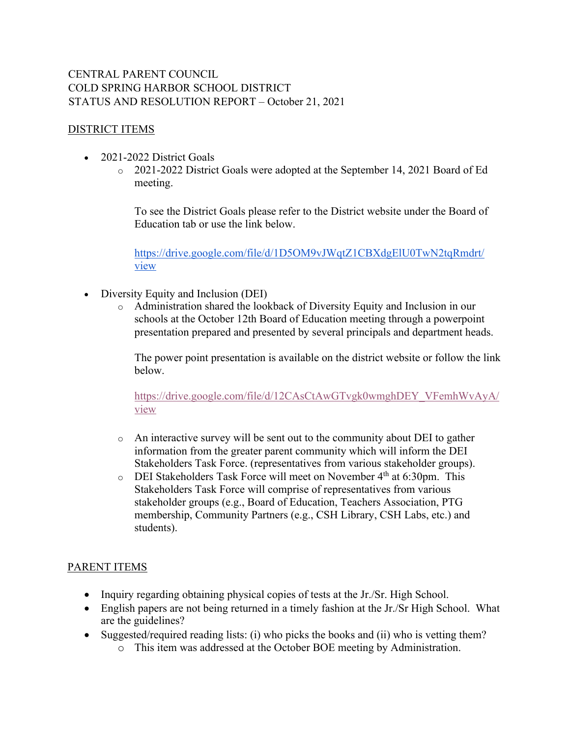## CENTRAL PARENT COUNCIL COLD SPRING HARBOR SCHOOL DISTRICT STATUS AND RESOLUTION REPORT – October 21, 2021

## DISTRICT ITEMS

- 2021-2022 District Goals
	- o 2021-2022 District Goals were adopted at the September 14, 2021 Board of Ed meeting.

To see the District Goals please refer to the District website under the Board of Education tab or use the link below.

https://drive.google.com/file/d/1D5OM9vJWqtZ1CBXdgElU0TwN2tqRmdrt/ view

- Diversity Equity and Inclusion (DEI)
	- o Administration shared the lookback of Diversity Equity and Inclusion in our schools at the October 12th Board of Education meeting through a powerpoint presentation prepared and presented by several principals and department heads.

The power point presentation is available on the district website or follow the link below.

https://drive.google.com/file/d/12CAsCtAwGTvgk0wmghDEY\_VFemhWvAyA/ view

- $\circ$  An interactive survey will be sent out to the community about DEI to gather information from the greater parent community which will inform the DEI Stakeholders Task Force. (representatives from various stakeholder groups).
- $\circ$  DEI Stakeholders Task Force will meet on November 4<sup>th</sup> at 6:30pm. This Stakeholders Task Force will comprise of representatives from various stakeholder groups (e.g., Board of Education, Teachers Association, PTG membership, Community Partners (e.g., CSH Library, CSH Labs, etc.) and students).

## PARENT ITEMS

- Inquiry regarding obtaining physical copies of tests at the Jr./Sr. High School.
- English papers are not being returned in a timely fashion at the Jr./Sr High School. What are the guidelines?
- Suggested/required reading lists: (i) who picks the books and (ii) who is vetting them?
	- o This item was addressed at the October BOE meeting by Administration.